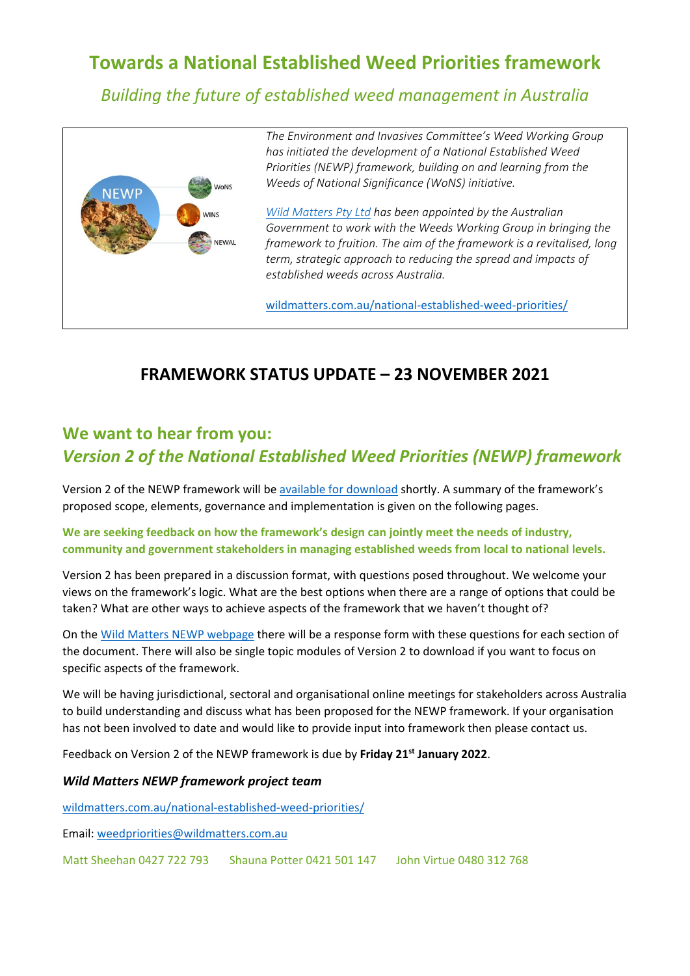# **Towards a National Established Weed Priorities framework**

*Building the future of established weed management in Australia*



*The Environment and Invasives Committee's Weed Working Group has initiated the development of a National Established Weed Priorities (NEWP) framework, building on and learning from the Weeds of National Significance (WoNS) initiative.*

*[Wild Matters Pty Ltd](http://wildmatters.com.au/) has been appointed by the Australian Government to work with the Weeds Working Group in bringing the framework to fruition. The aim of the framework is a revitalised, long term, strategic approach to reducing the spread and impacts of established weeds across Australia.*

[wildmatters.com.au/national-established-weed-priorities/](http://wildmatters.com.au/national-established-weed-priorities/)

# **FRAMEWORK STATUS UPDATE – 23 NOVEMBER 2021**

# **We want to hear from you:** *Version 2 of the National Established Weed Priorities (NEWP) framework*

Version 2 of the NEWP framework will be [available for download](http://wildmatters.com.au/national-established-weed-priorities/) shortly. A summary of the framework's proposed scope, elements, governance and implementation is given on the following pages.

**We are seeking feedback on how the framework's design can jointly meet the needs of industry, community and government stakeholders in managing established weeds from local to national levels.** 

Version 2 has been prepared in a discussion format, with questions posed throughout. We welcome your views on the framework's logic. What are the best options when there are a range of options that could be taken? What are other ways to achieve aspects of the framework that we haven't thought of?

On the [Wild Matters NEWP webpage](http://wildmatters.com.au/national-established-weed-priorities/) there will be a response form with these questions for each section of the document. There will also be single topic modules of Version 2 to download if you want to focus on specific aspects of the framework.

We will be having jurisdictional, sectoral and organisational online meetings for stakeholders across Australia to build understanding and discuss what has been proposed for the NEWP framework. If your organisation has not been involved to date and would like to provide input into framework then please contact us.

Feedback on Version 2 of the NEWP framework is due by **Friday 21st January 2022**.

## *Wild Matters NEWP framework project team*

[wildmatters.com.au/national-established-weed-priorities/](http://wildmatters.com.au/national-established-weed-priorities/)

Email: [weedpriorities@wildmatters.com.au](mailto:weedpriorities@wildmatters.com.au)

Matt Sheehan 0427 722 793 Shauna Potter 0421 501 147 John Virtue 0480 312 768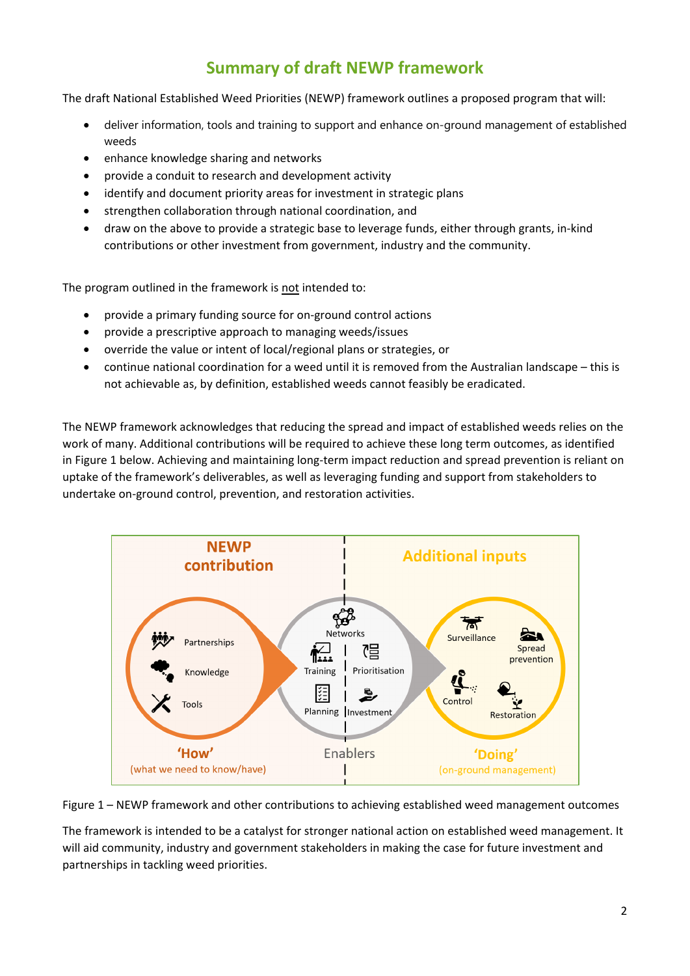# **Summary of draft NEWP framework**

The draft National Established Weed Priorities (NEWP) framework outlines a proposed program that will:

- deliver information, tools and training to support and enhance on-ground management of established weeds
- enhance knowledge sharing and networks
- provide a conduit to research and development activity
- identify and document priority areas for investment in strategic plans
- strengthen collaboration through national coordination, and
- draw on the above to provide a strategic base to leverage funds, either through grants, in-kind contributions or other investment from government, industry and the community.

The program outlined in the framework is not intended to:

- provide a primary funding source for on-ground control actions
- provide a prescriptive approach to managing weeds/issues
- override the value or intent of local/regional plans or strategies, or
- continue national coordination for a weed until it is removed from the Australian landscape this is not achievable as, by definition, established weeds cannot feasibly be eradicated.

The NEWP framework acknowledges that reducing the spread and impact of established weeds relies on the work of many. Additional contributions will be required to achieve these long term outcomes, as identified in Figure 1 below. Achieving and maintaining long-term impact reduction and spread prevention is reliant on uptake of the framework's deliverables, as well as leveraging funding and support from stakeholders to undertake on-ground control, prevention, and restoration activities.



Figure 1 – NEWP framework and other contributions to achieving established weed management outcomes

The framework is intended to be a catalyst for stronger national action on established weed management. It will aid community, industry and government stakeholders in making the case for future investment and partnerships in tackling weed priorities.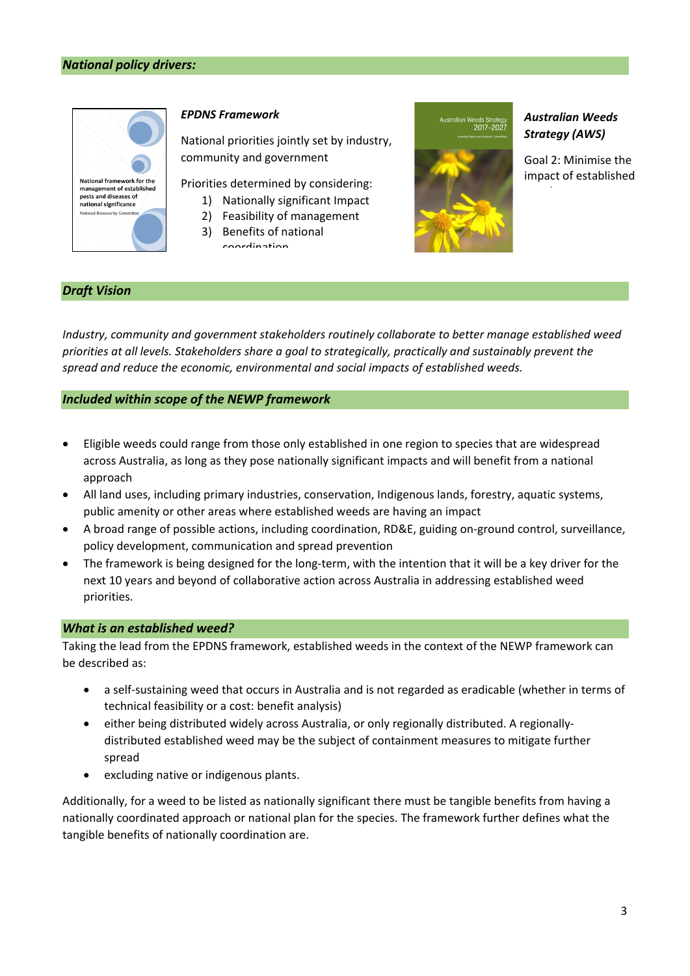

#### *EPDNS Framework*

National priorities jointly set by industry, community and government

Priorities determined by considering:

- 1) Nationally significant Impact
- 2) Feasibility of management
- 3) Benefits of national coordination



# *Australian Weeds Strategy (AWS)*

Goal 2: Minimise the impact of established

## *Draft Vision*

*Industry, community and government stakeholders routinely collaborate to better manage established weed priorities at all levels. Stakeholders share a goal to strategically, practically and sustainably prevent the spread and reduce the economic, environmental and social impacts of established weeds.*

#### *Included within scope of the NEWP framework*

- Eligible weeds could range from those only established in one region to species that are widespread across Australia, as long as they pose nationally significant impacts and will benefit from a national approach
- All land uses, including primary industries, conservation, Indigenous lands, forestry, aquatic systems, public amenity or other areas where established weeds are having an impact
- A broad range of possible actions, including coordination, RD&E, guiding on-ground control, surveillance, policy development, communication and spread prevention
- The framework is being designed for the long-term, with the intention that it will be a key driver for the next 10 years and beyond of collaborative action across Australia in addressing established weed priorities.

#### *What is an established weed?*

Taking the lead from the EPDNS framework, established weeds in the context of the NEWP framework can be described as:

- a self-sustaining weed that occurs in Australia and is not regarded as eradicable (whether in terms of technical feasibility or a cost: benefit analysis)
- either being distributed widely across Australia, or only regionally distributed. A regionallydistributed established weed may be the subject of containment measures to mitigate further spread
- excluding native or indigenous plants.

Additionally, for a weed to be listed as nationally significant there must be tangible benefits from having a nationally coordinated approach or national plan for the species. The framework further defines what the tangible benefits of nationally coordination are.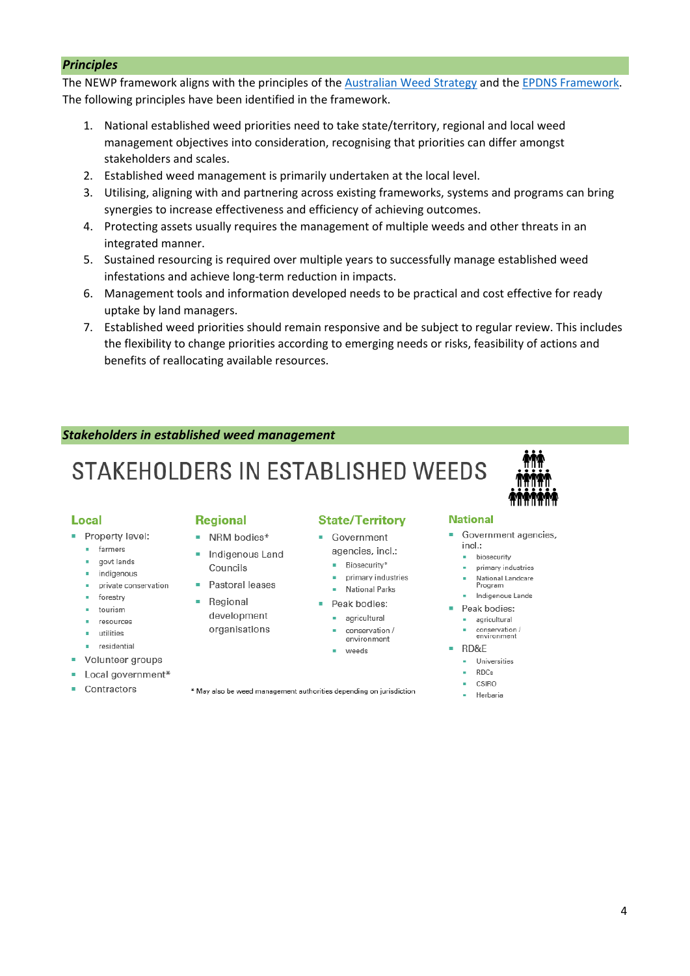#### *Principles*

The NEWP framework aligns with the principles of the [Australian Weed Strategy](https://www.agriculture.gov.au/sites/default/files/sitecollectiondocuments/pests-diseases-weeds/consultation/aws-final.docx) and the EPDNS [Framework.](https://www.awe.gov.au/biosecurity-trade/policy/partnerships/nbc/intergovernmental-agreement-on-biosecurity/national-framework) The following principles have been identified in the framework.

- 1. National established weed priorities need to take state/territory, regional and local weed management objectives into consideration, recognising that priorities can differ amongst stakeholders and scales.
- 2. Established weed management is primarily undertaken at the local level.
- 3. Utilising, aligning with and partnering across existing frameworks, systems and programs can bring synergies to increase effectiveness and efficiency of achieving outcomes.
- 4. Protecting assets usually requires the management of multiple weeds and other threats in an integrated manner.
- 5. Sustained resourcing is required over multiple years to successfully manage established weed infestations and achieve long-term reduction in impacts.
- 6. Management tools and information developed needs to be practical and cost effective for ready uptake by land managers.
- 7. Established weed priorities should remain responsive and be subject to regular review. This includes the flexibility to change priorities according to emerging needs or risks, feasibility of actions and benefits of reallocating available resources.

#### *Stakeholders in established weed management*

# STAKEHOLDERS IN ESTABLISHED WEEDS

#### **Local**

- Property level:
	- **·** farmers
	- · govt lands
	- indigenous private conservation
	- **forestry**
	- · tourism
	- **•** resources
	- · utilities
	- residential
- Volunteer groups
- Local government\*
- Contractors

#### **Regional**

- NRM bodies\* · Indigenous Land
- Councils
- Pastoral leases • Regional

development organisations

- 
- 

#### **State/Territory**

- Government agencies. incl.:
	- Biosecurity\*
	- primary industries
	- National Parks
- $\blacksquare$  Peak bodies:
	-
	- environment
	- weeds

# **National**

- Government agencies,  $ind.$ 
	- · biosecurity
	- primary industries
	- National Landcare<br>Program
	- · Indigenous Lands
- Peak bodies:
	- · agricultural
	- conservation /<br>environment
- RD&E
	- · Universities
	- $RDCs$
	- CSIRO
	- · Herbaria

\* May also be weed management authorities depending on jurisdiction

- · agricultural conservation /
	-
	-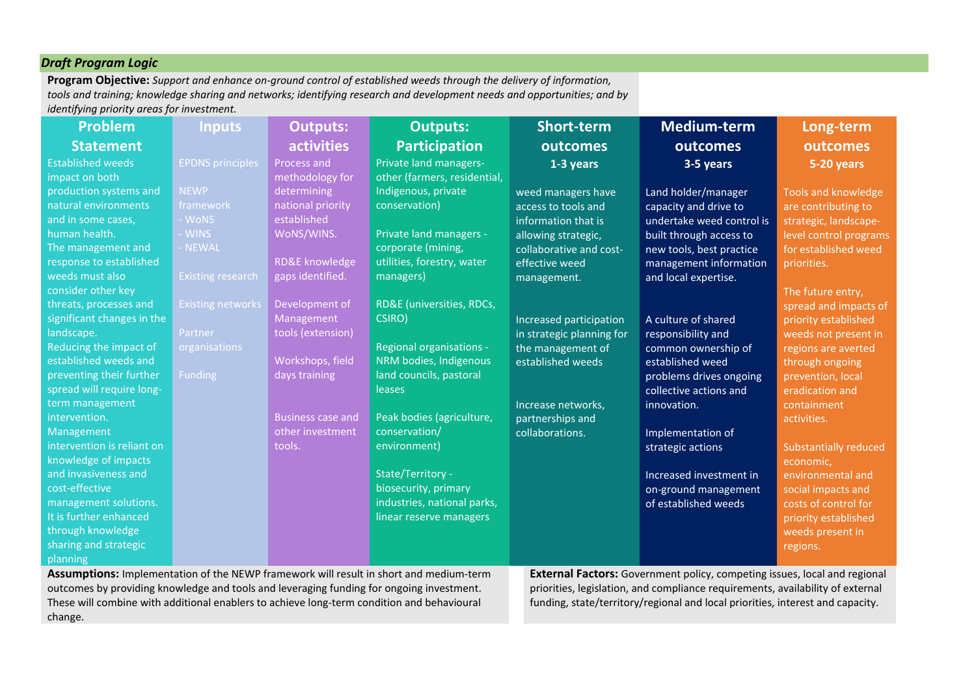# *Draft Program Logic*

**Program Objective:** *Support and enhance on-ground control of established weeds through the delivery of information, tools and training; knowledge sharing and networks; identifying research and development needs and opportunities; and by identifying priority areas for investment.*

| <b>Problem</b>                        | <b>Inputs</b>                                  | <b>Outputs:</b>                                            | <b>Outputs:</b>              | Short-term                                | Medium-term               | Long-term                                   |
|---------------------------------------|------------------------------------------------|------------------------------------------------------------|------------------------------|-------------------------------------------|---------------------------|---------------------------------------------|
| <b>Statement</b>                      |                                                | <b>activities</b>                                          | <b>Participation</b>         | outcomes                                  | outcomes                  | outcomes                                    |
| <b>Established weeds</b>              | <b>EPDNS</b> principles                        | Process and                                                | Private land managers-       | 1-3 years                                 | 3-5 years                 | 5-20 years                                  |
| impact on both                        |                                                | methodology for                                            | other (farmers, residential, |                                           |                           |                                             |
| production systems and                | <b>NEWP</b>                                    | determining                                                | Indigenous, private          | weed managers have                        | Land holder/manager       | <b>Tools and knowledge</b>                  |
| natural environments                  | framework                                      | national priority                                          | conservation)                | access to tools and                       | capacity and drive to     | are contributing to                         |
| and in some cases,                    | - WoNS                                         | established                                                |                              | information that is                       | undertake weed control is | strategic, landscape-                       |
| human health.                         | - WINS                                         | WoNS/WINS.                                                 | Private land managers -      | allowing strategic,                       | built through access to   | level control programs                      |
| The management and                    | - NEWAL                                        |                                                            | corporate (mining,           | collaborative and cost-                   | new tools, best practice  | for established weed                        |
| response to established               |                                                | RD&E knowledge                                             | utilities, forestry, water   | effective weed                            | management information    | priorities.                                 |
| weeds must also                       | <b>Existing research</b>                       | gaps identified.                                           | managers)                    | management.                               | and local expertise.      |                                             |
| consider other key                    |                                                |                                                            |                              |                                           |                           | The future entry,                           |
| threats, processes and                | <b>Existing networks</b>                       | Development of                                             | RD&E (universities, RDCs,    |                                           |                           | spread and impacts of                       |
| significant changes in the            |                                                | Management                                                 | CSIRO)                       | Increased participation                   | A culture of shared       | priority established                        |
| landscape.                            | Partner                                        | tools (extension)                                          |                              | in strategic planning for                 | responsibility and        | weeds not present in                        |
| Reducing the impact of                | organisations                                  |                                                            | Regional organisations -     | the management of                         | common ownership of       | regions are averted                         |
| established weeds and                 |                                                | Workshops, field                                           | NRM bodies, Indigenous       | established weeds                         | established weed          | through ongoing                             |
| preventing their further              | Funding                                        | days training                                              | land councils, pastoral      |                                           | problems drives ongoing   | prevention, local                           |
| spread will require long-             |                                                |                                                            | leases                       |                                           | collective actions and    | eradication and                             |
| term management                       |                                                |                                                            |                              | Increase networks,                        | innovation.               | containment                                 |
| intervention.                         |                                                | <b>Business case and</b>                                   | Peak bodies (agriculture,    | partnerships and                          |                           | activities.                                 |
| Management                            |                                                | other investment                                           | conservation/                | collaborations.                           | Implementation of         |                                             |
| intervention is reliant on            |                                                | tools.                                                     | environment)                 |                                           | strategic actions         | <b>Substantially reduced</b>                |
| knowledge of impacts                  |                                                |                                                            |                              |                                           |                           | economic,                                   |
| and invasiveness and                  |                                                |                                                            | State/Territory -            |                                           | Increased investment in   | environmental and                           |
| cost-effective                        |                                                |                                                            | biosecurity, primary         |                                           | on-ground management      | social impacts and                          |
| management solutions.                 |                                                |                                                            | industries, national parks,  |                                           | of established weeds      | costs of control for                        |
| It is further enhanced                |                                                |                                                            | linear reserve managers      |                                           |                           | priority established                        |
| through knowledge                     |                                                |                                                            |                              |                                           |                           | weeds present in                            |
| sharing and strategic                 |                                                |                                                            |                              |                                           |                           | regions.                                    |
| planning<br>المستمرا ومستحدث والقائمة | $f_{\text{L}}$ $\sim$ NIFINID $f_{\text{max}}$ | والمتواصل والمستحدث والمستنقل والمستحدث والمناقص والمستحدث |                              | $Fsub$ $Asub$ $Asub$ $Asub$ $Asub$ $Asub$ |                           | المستحاد ومراويتها وواجبا المستنقط والمنافذ |

**Assumptions:** Implementation of the NEWP framework will result in short and medium-term outcomes by providing knowledge and tools and leveraging funding for ongoing investment. These will combine with additional enablers to achieve long-term condition and behavioural change.

**External Factors:** Government policy, competing issues, local and regional priorities, legislation, and compliance requirements, availability of external funding, state/territory/regional and local priorities, interest and capacity.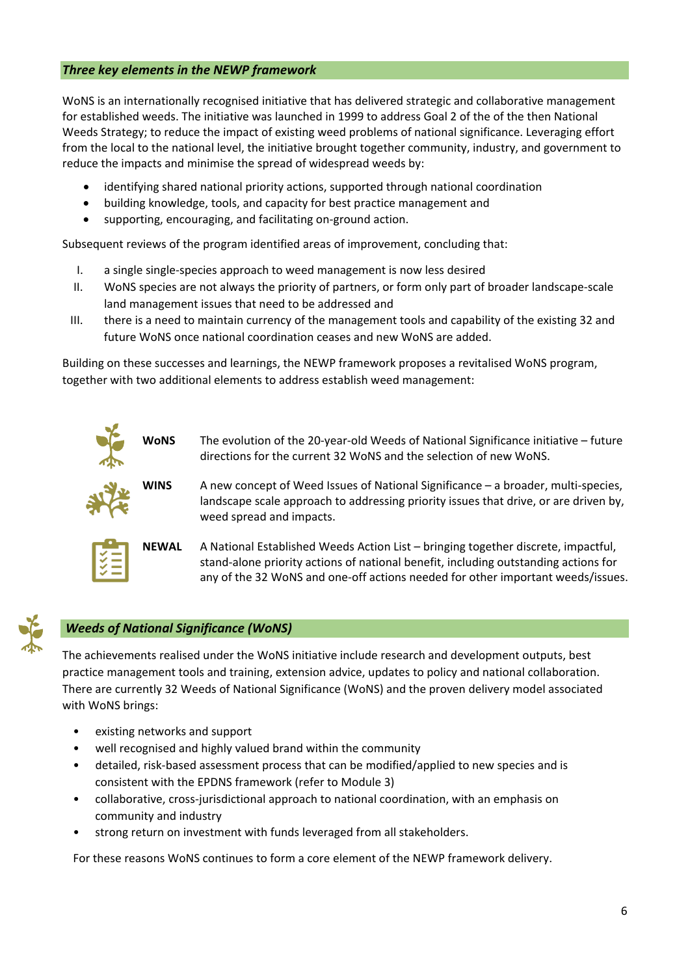# *Three key elements in the NEWP framework*

WoNS is an internationally recognised initiative that has delivered strategic and collaborative management for established weeds. The initiative was launched in 1999 to address Goal 2 of the of the then National Weeds Strategy; to reduce the impact of existing weed problems of national significance. Leveraging effort from the local to the national level, the initiative brought together community, industry, and government to reduce the impacts and minimise the spread of widespread weeds by:

- identifying shared national priority actions, supported through national coordination
- building knowledge, tools, and capacity for best practice management and
- supporting, encouraging, and facilitating on-ground action.

Subsequent reviews of the program identified areas of improvement, concluding that:

- I. a single single-species approach to weed management is now less desired
- II. WoNS species are not always the priority of partners, or form only part of broader landscape-scale land management issues that need to be addressed and
- III. there is a need to maintain currency of the management tools and capability of the existing 32 and future WoNS once national coordination ceases and new WoNS are added.

Building on these successes and learnings, the NEWP framework proposes a revitalised WoNS program, together with two additional elements to address establish weed management:





# *Weeds of National Significance (WoNS)*

The achievements realised under the WoNS initiative include research and development outputs, best practice management tools and training, extension advice, updates to policy and national collaboration. There are currently 32 Weeds of National Significance (WoNS) and the proven delivery model associated with WoNS brings:

- existing networks and support
- well recognised and highly valued brand within the community
- detailed, risk-based assessment process that can be modified/applied to new species and is consistent with the EPDNS framework (refer to Module 3)
- collaborative, cross-jurisdictional approach to national coordination, with an emphasis on community and industry
- strong return on investment with funds leveraged from all stakeholders.

For these reasons WoNS continues to form a core element of the NEWP framework delivery.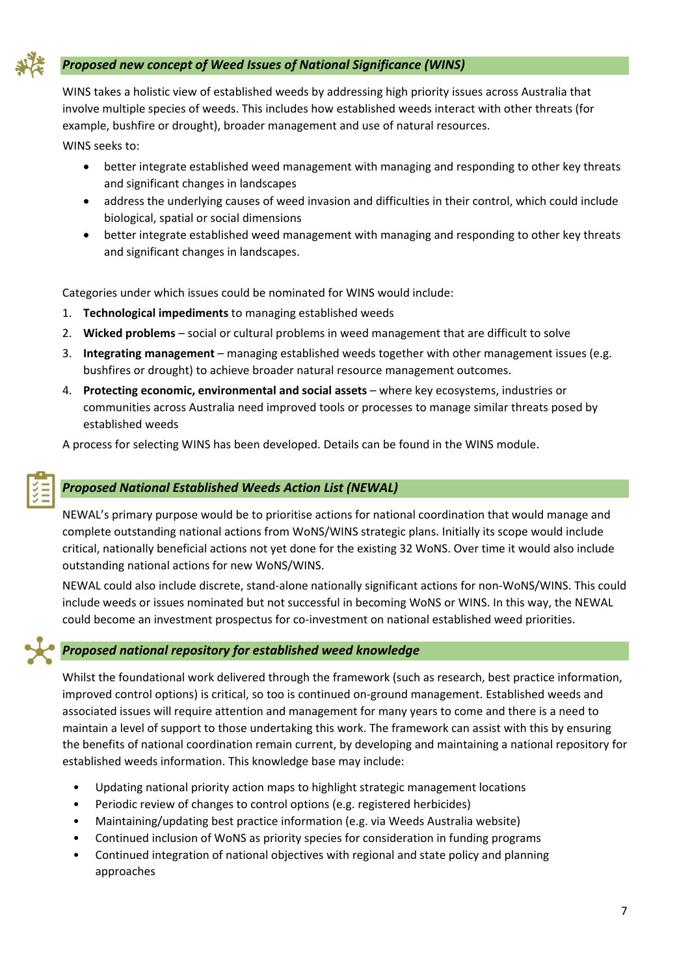

# *Proposed new concept of Weed Issues of National Significance (WINS)*

WINS takes a holistic view of established weeds by addressing high priority issues across Australia that involve multiple species of weeds. This includes how established weeds interact with other threats (for example, bushfire or drought), broader management and use of natural resources.

WINS seeks to:

- better integrate established weed management with managing and responding to other key threats and significant changes in landscapes
- address the underlying causes of weed invasion and difficulties in their control, which could include biological, spatial or social dimensions
- better integrate established weed management with managing and responding to other key threats and significant changes in landscapes.

Categories under which issues could be nominated for WINS would include:

- 1. **Technological impediments** to managing established weeds
- 2. **Wicked problems** social or cultural problems in weed management that are difficult to solve
- 3. **Integrating management**  managing established weeds together with other management issues (e.g. bushfires or drought) to achieve broader natural resource management outcomes.
- 4. **Protecting economic, environmental and social assets** where key ecosystems, industries or communities across Australia need improved tools or processes to manage similar threats posed by established weeds

A process for selecting WINS has been developed. Details can be found in the WINS module.

# *Proposed National Established Weeds Action List (NEWAL)*

NEWAL's primary purpose would be to prioritise actions for national coordination that would manage and complete outstanding national actions from WoNS/WINS strategic plans. Initially its scope would include critical, nationally beneficial actions not yet done for the existing 32 WoNS. Over time it would also include outstanding national actions for new WoNS/WINS.

NEWAL could also include discrete, stand-alone nationally significant actions for non-WoNS/WINS. This could include weeds or issues nominated but not successful in becoming WoNS or WINS. In this way, the NEWAL could become an investment prospectus for co-investment on national established weed priorities.

## *Proposed national repository for established weed knowledge*

Whilst the foundational work delivered through the framework (such as research, best practice information, improved control options) is critical, so too is continued on-ground management. Established weeds and associated issues will require attention and management for many years to come and there is a need to maintain a level of support to those undertaking this work. The framework can assist with this by ensuring the benefits of national coordination remain current, by developing and maintaining a national repository for established weeds information. This knowledge base may include:

- Updating national priority action maps to highlight strategic management locations
- Periodic review of changes to control options (e.g. registered herbicides)
- Maintaining/updating best practice information (e.g. via Weeds Australia website)
- Continued inclusion of WoNS as priority species for consideration in funding programs
- Continued integration of national objectives with regional and state policy and planning approaches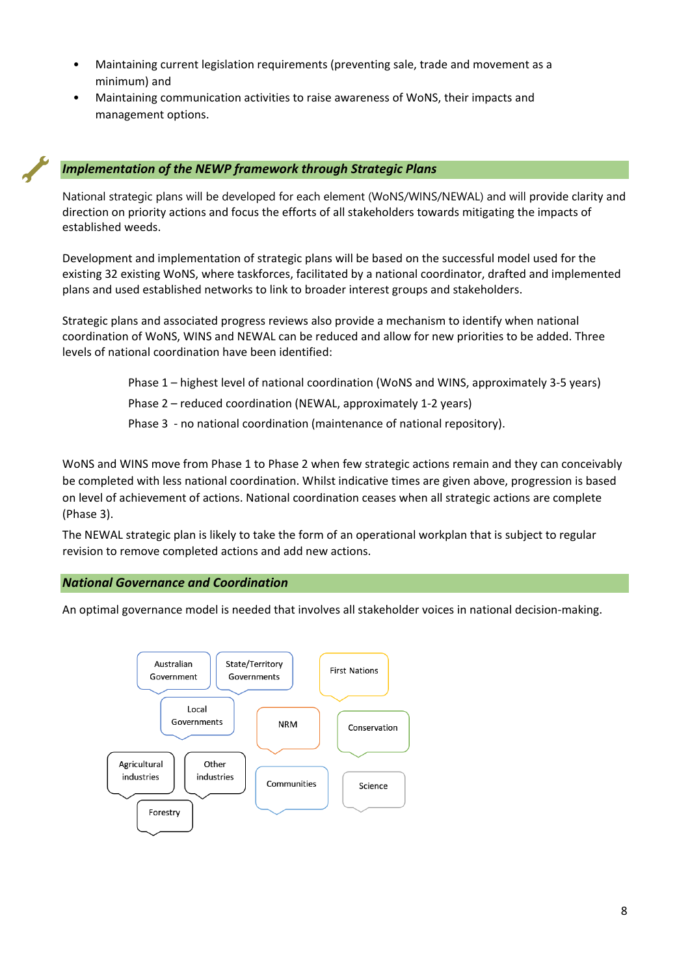- Maintaining current legislation requirements (preventing sale, trade and movement as a minimum) and
- Maintaining communication activities to raise awareness of WoNS, their impacts and management options.

# *Implementation of the NEWP framework through Strategic Plans*

National strategic plans will be developed for each element (WoNS/WINS/NEWAL) and will provide clarity and direction on priority actions and focus the efforts of all stakeholders towards mitigating the impacts of established weeds.

Development and implementation of strategic plans will be based on the successful model used for the existing 32 existing WoNS, where taskforces, facilitated by a national coordinator, drafted and implemented plans and used established networks to link to broader interest groups and stakeholders.

Strategic plans and associated progress reviews also provide a mechanism to identify when national coordination of WoNS, WINS and NEWAL can be reduced and allow for new priorities to be added. Three levels of national coordination have been identified:

Phase 1 – highest level of national coordination (WoNS and WINS, approximately 3-5 years)

Phase 2 – reduced coordination (NEWAL, approximately 1-2 years)

Phase 3 - no national coordination (maintenance of national repository).

WoNS and WINS move from Phase 1 to Phase 2 when few strategic actions remain and they can conceivably be completed with less national coordination. Whilst indicative times are given above, progression is based on level of achievement of actions. National coordination ceases when all strategic actions are complete (Phase 3).

The NEWAL strategic plan is likely to take the form of an operational workplan that is subject to regular revision to remove completed actions and add new actions.

## *National Governance and Coordination*

An optimal governance model is needed that involves all stakeholder voices in national decision-making.

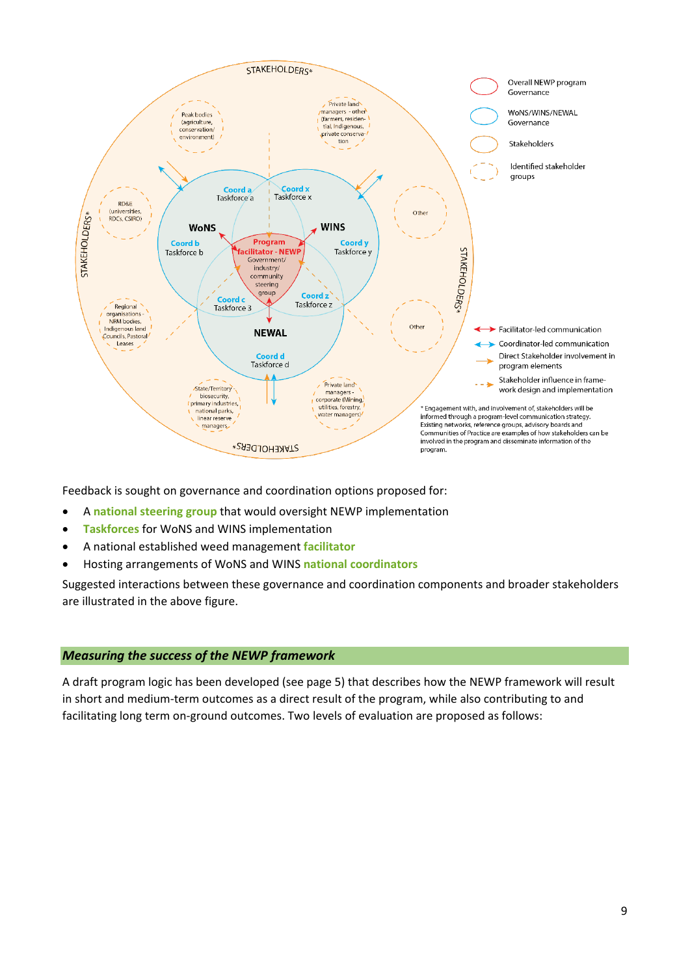

Feedback is sought on governance and coordination options proposed for:

- A **national steering group** that would oversight NEWP implementation
- **Taskforces** for WoNS and WINS implementation
- A national established weed management **facilitator**
- Hosting arrangements of WoNS and WINS **national coordinators**

Suggested interactions between these governance and coordination components and broader stakeholders are illustrated in the above figure.

#### *Measuring the success of the NEWP framework*

A draft program logic has been developed (see page 5) that describes how the NEWP framework will result in short and medium-term outcomes as a direct result of the program, while also contributing to and facilitating long term on-ground outcomes. Two levels of evaluation are proposed as follows: